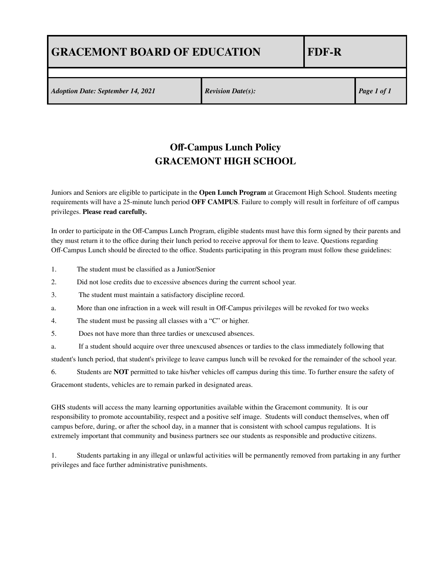## **GRACEMONT BOARD OF EDUCATION FDF-R**

## **Off-Campus Lunch Policy GRACEMONT HIGH SCHOOL**

Juniors and Seniors are eligible to participate in the **Open Lunch Program** at Gracemont High School. Students meeting requirements will have a 25-minute lunch period **OFF CAMPUS**. Failure to comply will result in forfeiture of off campus privileges. **Please read carefully.**

In order to participate in the Off-Campus Lunch Program, eligible students must have this form signed by their parents and they must return it to the office during their lunch period to receive approval for them to leave. Questions regarding Off-Campus Lunch should be directed to the office. Students participating in this program must follow these guidelines:

- 1. The student must be classified as a Junior/Senior
- 2. Did not lose credits due to excessive absences during the current school year.
- 3. The student must maintain a satisfactory discipline record.
- a. More than one infraction in a week will result in Off-Campus privileges will be revoked for two weeks
- 4. The student must be passing all classes with a "C" or higher.
- 5. Does not have more than three tardies or unexcused absences.
- a. If a student should acquire over three unexcused absences or tardies to the class immediately following that

student's lunch period, that student's privilege to leave campus lunch will be revoked for the remainder of the school year.

6. Students are **NOT** permitted to take his/her vehicles off campus during this time. To further ensure the safety of

Gracemont students, vehicles are to remain parked in designated areas.

GHS students will access the many learning opportunities available within the Gracemont community. It is our responsibility to promote accountability, respect and a positive self image. Students will conduct themselves, when off campus before, during, or after the school day, in a manner that is consistent with school campus regulations. It is extremely important that community and business partners see our students as responsible and productive citizens.

1. Students partaking in any illegal or unlawful activities will be permanently removed from partaking in any further privileges and face further administrative punishments.